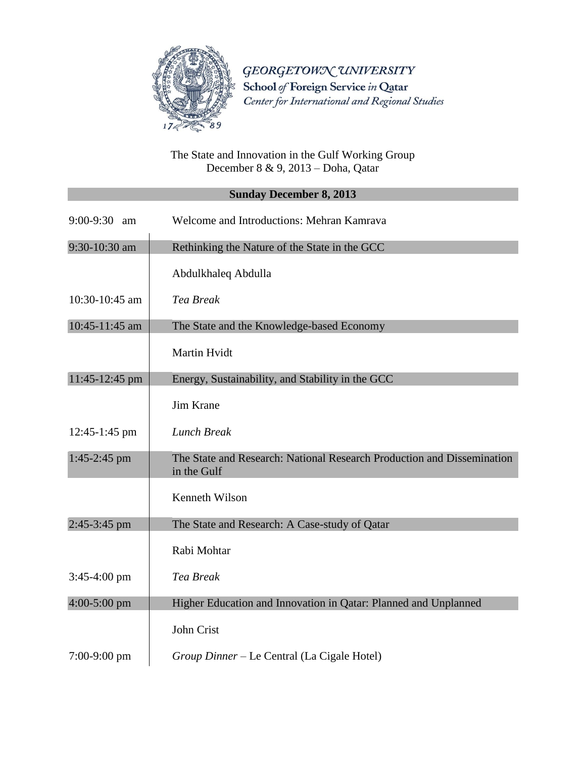

GEORGETOWN UNIVERSITY School of Foreign Service in Qatar Center for International and Regional Studies

The State and Innovation in the Gulf Working Group December 8 & 9, 2013 – Doha, Qatar

## **Sunday December 8, 2013**

| $9:00-9:30$ am | Welcome and Introductions: Mehran Kamrava                                             |
|----------------|---------------------------------------------------------------------------------------|
| 9:30-10:30 am  | Rethinking the Nature of the State in the GCC                                         |
|                | Abdulkhaleq Abdulla                                                                   |
| 10:30-10:45 am | <b>Tea Break</b>                                                                      |
| 10:45-11:45 am | The State and the Knowledge-based Economy                                             |
|                | Martin Hvidt                                                                          |
| 11:45-12:45 pm | Energy, Sustainability, and Stability in the GCC                                      |
|                | Jim Krane                                                                             |
| 12:45-1:45 pm  | <b>Lunch Break</b>                                                                    |
| $1:45-2:45$ pm | The State and Research: National Research Production and Dissemination<br>in the Gulf |
|                | Kenneth Wilson                                                                        |
| 2:45-3:45 pm   | The State and Research: A Case-study of Qatar                                         |
|                | Rabi Mohtar                                                                           |
| $3:45-4:00$ pm | <b>Tea Break</b>                                                                      |
| $4:00-5:00$ pm | Higher Education and Innovation in Qatar: Planned and Unplanned                       |
|                | John Crist                                                                            |
| $7:00-9:00$ pm | Group Dinner – Le Central (La Cigale Hotel)                                           |